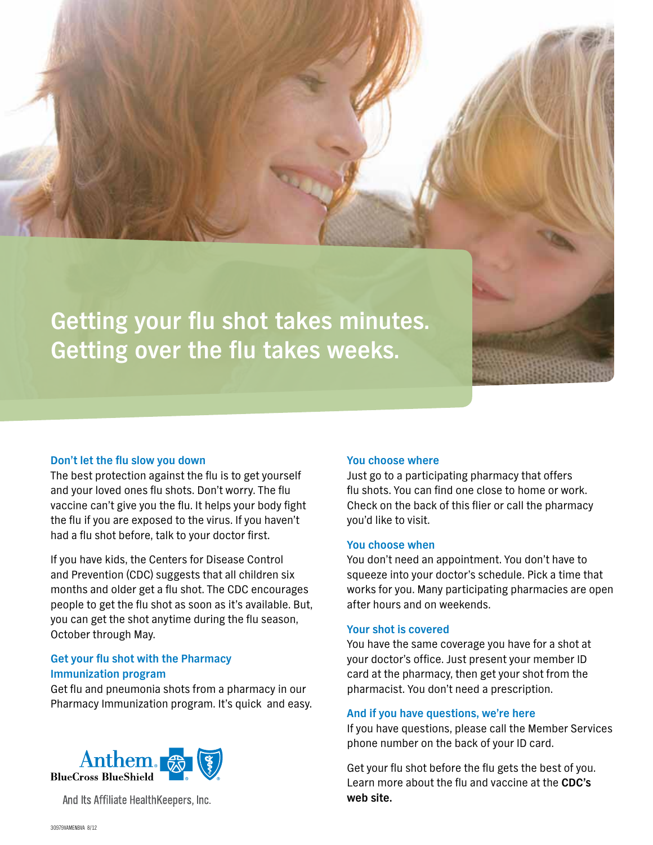

#### **Don't let the flu slow you down**

The best protection against the flu is to get yourself and your loved ones flu shots. Don't worry. The flu vaccine can't give you the flu. It helps your body fight the flu if you are exposed to the virus. If you haven't had a flu shot before, talk to your doctor first.

If you have kids, the Centers for Disease Control and Prevention (CDC) suggests that all children six months and older get a flu shot. The CDC encourages people to get the flu shot as soon as it's available. But, you can get the shot anytime during the flu season, October through May.

# **Get your flu shot with the Pharmacy Immunization program**

Get flu and pneumonia shots from a pharmacy in our Pharmacy Immunization program. It's quick and easy.



And Its Affiliate HealthKeepers, Inc.

#### **You choose where**

Just go to a participating pharmacy that offers flu shots. You can find one close to home or work. Check on the back of this flier or call the pharmacy you'd like to visit.

## **You choose when**

You don't need an appointment. You don't have to squeeze into your doctor's schedule. Pick a time that works for you. Many participating pharmacies are open after hours and on weekends.

### **Your shot is covered**

You have the same coverage you have for a shot at your doctor's office. Just present your member ID card at the pharmacy, then get your shot from the pharmacist. You don't need a prescription.

#### **And if you have questions, we're here**

If you have questions, please call the Member Services phone number on the back of your ID card.

Get your flu shot before the flu gets the best of you. Learn more about the flu and vaccine at the **[CDC's](http://www.cdc.gov/flu/protect/keyfacts.htm)  [web site.](http://www.cdc.gov/flu/protect/keyfacts.htm)**